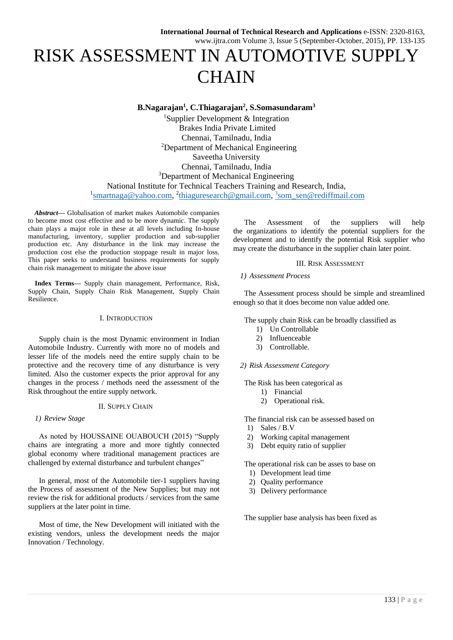# RISK ASSESSMENT IN AUTOMOTIVE SUPPLY **CHAIN**

## **B.Nagarajan<sup>1</sup> , C.Thiagarajan<sup>2</sup> , S.Somasundaram<sup>3</sup>**

<sup>1</sup>Supplier Development  $\&$  Integration Brakes India Private Limited Chennai, Tamilnadu, India <sup>2</sup>Department of Mechanical Engineering Saveetha University Chennai, Tamilnadu, India <sup>3</sup>Department of Mechanical Engineering National Institute for Technical Teachers Training and Research, India, <sup>1</sup>[smartnaga@yahoo.com,](mailto:smartnaga@yahoo.com) <sup>2</sup>[thiaguresearch@gmail.com,](mailto:thiaguresearch@gmail.com) <sup>3</sup>[som\\_sen@rediffmail.com](mailto:3som_sen@rediffmail.com)

*Abstract***—** Globalisation of market makes Automobile companies to become most cost effective and to be more dynamic. The supply chain plays a major role in these at all levels including In-house manufacturing, inventory, supplier production and sub-supplier production etc. Any disturbance in the link may increase the production cost else the production stoppage result in major loss. This paper seeks to understand business requirements for supply chain risk management to mitigate the above issue

**Index Terms—** Supply chain management, Performance, Risk, Supply Chain, Supply Chain Risk Management, Supply Chain Resilience.

#### I. INTRODUCTION

Supply chain is the most Dynamic environment in Indian Automobile Industry. Currently with more no of models and lesser life of the models need the entire supply chain to be protective and the recovery time of any disturbance is very limited. Also the customer expects the prior approval for any changes in the process / methods need the assessment of the Risk throughout the entire supply network.

## II. SUPPLY CHAIN

## *1) Review Stage*

As noted by HOUSSAINE OUABOUCH (2015) "Supply chains are integrating a more and more tightly connected global economy where traditional management practices are challenged by external disturbance and turbulent changes"

In general, most of the Automobile tier-1 suppliers having the Process of assessment of the New Supplies; but may not review the risk for additional products / services from the same suppliers at the later point in time.

Most of time, the New Development will initiated with the existing vendors, unless the development needs the major Innovation / Technology.

The Assessment of the suppliers will help the organizations to identify the potential suppliers for the development and to identify the potential Risk supplier who may create the disturbance in the supplier chain later point.

## III. RISK ASSESSMENT

## *1) Assessment Process*

The Assessment process should be simple and streamlined enough so that it does become non value added one.

The supply chain Risk can be broadly classified as

- 1) Un Controllable
- 2) Influenceable
- 3) Controllable.

## *2) Risk Assessment Category*

The Risk has been categorical as

- 1) Financial
- 2) Operational risk.

The financial risk can be assessed based on

- 1) Sales / B.V
- 2) Working capital management
- 3) Debt equity ratio of supplier

The operational risk can be asses to base on

- 1) Development lead time
- 2) Quality performance
- 3) Delivery performance

The supplier base analysis has been fixed as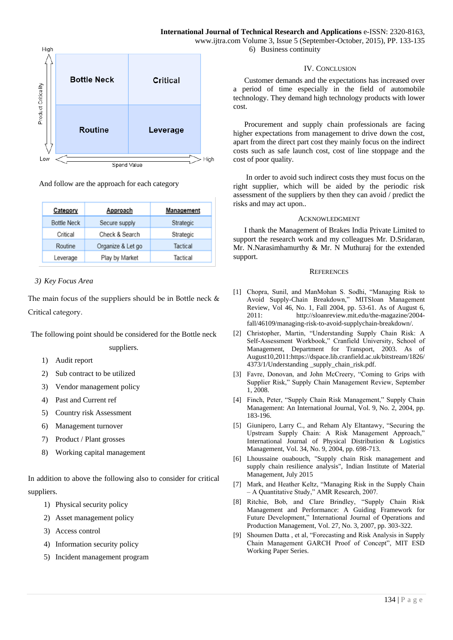## **International Journal of Technical Research and Applications** e-ISSN: 2320-8163,



And follow are the approach for each category

| Category           | Approach          | <b>Management</b> |
|--------------------|-------------------|-------------------|
| <b>Bottle Neck</b> | Secure supply     | Strategic         |
| Critical           | Check & Search    | Strategic         |
| Routine            | Organize & Let go | Tactical          |
| Leverage           | Play by Market    | Tactical          |

#### *3) Key Focus Area*

The main focus of the suppliers should be in Bottle neck & Critical category.

The following point should be considered for the Bottle neck suppliers.

- 1) Audit report
- 2) Sub contract to be utilized
- 3) Vendor management policy
- 4) Past and Current ref
- 5) Country risk Assessment
- 6) Management turnover
- 7) Product / Plant grosses
- 8) Working capital management

In addition to above the following also to consider for critical suppliers.

- 1) Physical security policy
- 2) Asset management policy
- 3) Access control
- 4) Information security policy
- 5) Incident management program

6) Business continuity

#### IV. CONCLUSION

Customer demands and the expectations has increased over a period of time especially in the field of automobile technology. They demand high technology products with lower cost.

Procurement and supply chain professionals are facing higher expectations from management to drive down the cost, apart from the direct part cost they mainly focus on the indirect costs such as safe launch cost, cost of line stoppage and the cost of poor quality.

In order to avoid such indirect costs they must focus on the right supplier, which will be aided by the periodic risk assessment of the suppliers by then they can avoid / predict the risks and may act upon..

#### ACKNOWLEDGMENT

I thank the Management of Brakes India Private Limited to support the research work and my colleagues Mr. D.Sridaran, Mr. N.Narasimhamurthy & Mr. N Muthuraj for the extended support.

#### **REFERENCES**

- [1] Chopra, Sunil, and ManMohan S. Sodhi, "Managing Risk to Avoid Supply-Chain Breakdown," MITSloan Management Review, Vol 46, No. 1, Fall 2004, pp. 53-61. As of August 6, 2011: http://sloanreview.mit.edu/the-magazine/2004 fall/46109/managing-risk-to-avoid-supplychain-breakdown/.
- [2] Christopher, Martin, "Understanding Supply Chain Risk: A Self-Assessment Workbook," Cranfield University, School of Management, Department for Transport, 2003. As of August10,2011:https://dspace.lib.cranfield.ac.uk/bitstream/1826/ 4373/1/Understanding \_supply\_chain\_risk.pdf.
- [3] Favre, Donovan, and John McCreery, "Coming to Grips with Supplier Risk," Supply Chain Management Review, September 1, 2008.
- [4] Finch, Peter, "Supply Chain Risk Management," Supply Chain Management: An International Journal, Vol. 9, No. 2, 2004, pp. 183-196.
- [5] Giunipero, Larry C., and Reham Aly Eltantawy, "Securing the Upstream Supply Chain: A Risk Management Approach," International Journal of Physical Distribution & Logistics Management, Vol. 34, No. 9, 2004, pp. 698-713.
- [6] Lhoussaine ouabouch, "Supply chain Risk management and supply chain resilience analysis", Indian Institute of Material Management, July 2015
- [7] Mark, and Heather Keltz, "Managing Risk in the Supply Chain – A Quantitative Study," AMR Research, 2007.
- [8] Ritchie, Bob, and Clare Brindley, "Supply Chain Risk Management and Performance: A Guiding Framework for Future Development," International Journal of Operations and Production Management, Vol. 27, No. 3, 2007, pp. 303-322.
- [9] Shoumen Datta , et al, "Forecasting and Risk Analysis in Supply Chain Management GARCH Proof of Concept", MIT ESD Working Paper Series.